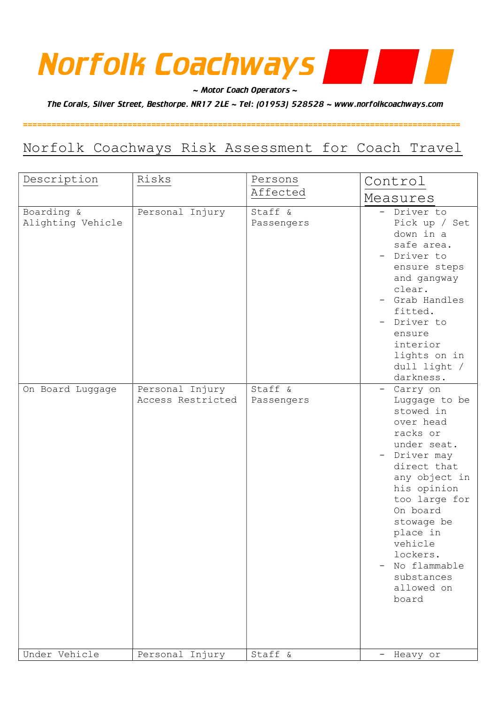# Norfolk Coachways

 $\sim$  Motor Coach Operators  $\sim$ 

The Corals, Silver Street, Besthorpe. NR17 2LE ~ Tel: (01953) 528528 ~ www.norfolkcoachways.com

### Norfolk Coachways Risk Assessment for Coach Travel

============================================================================================

| Description                     | Risks                                | Persons               | Control                                                                                                                                                                                                                                                                            |
|---------------------------------|--------------------------------------|-----------------------|------------------------------------------------------------------------------------------------------------------------------------------------------------------------------------------------------------------------------------------------------------------------------------|
|                                 |                                      | Affected              | Measures                                                                                                                                                                                                                                                                           |
| Boarding &<br>Alighting Vehicle | Personal Injury                      | Staff &<br>Passengers | - Driver to<br>Pick up / Set<br>down in a<br>safe area.<br>- Driver to<br>ensure steps<br>and gangway<br>clear.<br>- Grab Handles<br>fitted.<br>Driver to<br>ensure<br>interior<br>lights on in<br>dull light /<br>darkness.                                                       |
| On Board Luggage                | Personal Injury<br>Access Restricted | Staff &<br>Passengers | - Carry on<br>Luggage to be<br>stowed in<br>over head<br>racks or<br>under seat.<br>- Driver may<br>direct that<br>any object in<br>his opinion<br>too large for<br>On board<br>stowage be<br>place in<br>vehicle<br>lockers.<br>No flammable<br>substances<br>allowed on<br>board |
| Under Vehicle                   | Personal Injury                      | Staff &               | Heavy or                                                                                                                                                                                                                                                                           |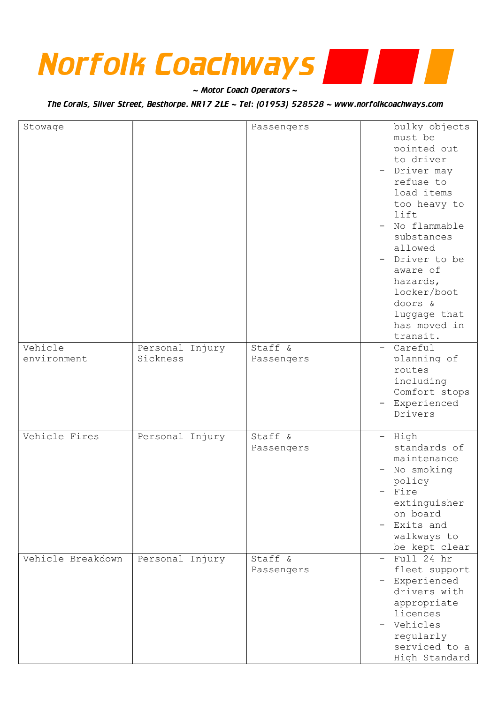## Norfolk Coachways

 $\sim$  Motor Coach Operators  $\sim$ 

The Corals, Silver Street, Besthorpe. NR17 2LE ~ Tel: (01953) 528528 ~ www.norfolkcoachways.com

| Stowage                |                             | Passengers            | bulky objects<br>must be<br>pointed out<br>to driver<br>- Driver may<br>refuse to<br>load items<br>too heavy to<br>lift<br>No flammable<br>substances<br>allowed<br>- Driver to be<br>aware of<br>hazards,<br>locker/boot<br>doors &<br>luggage that<br>has moved in<br>transit. |
|------------------------|-----------------------------|-----------------------|----------------------------------------------------------------------------------------------------------------------------------------------------------------------------------------------------------------------------------------------------------------------------------|
| Vehicle<br>environment | Personal Injury<br>Sickness | Staff &<br>Passengers | - Careful<br>planning of<br>routes<br>including<br>Comfort stops<br>- Experienced<br>Drivers                                                                                                                                                                                     |
| Vehicle Fires          | Personal Injury             | Staff &<br>Passengers | - High<br>standards of<br>maintenance<br>No smoking<br>policy<br>- Fire<br>extinguisher<br>on board<br>Exits and<br>walkways to<br>be kept clear                                                                                                                                 |
| Vehicle Breakdown      | Personal Injury             | Staff &<br>Passengers | Full 24 hr<br>fleet support<br>Experienced<br>drivers with<br>appropriate<br>licences<br>Vehicles<br>regularly<br>serviced to a<br>High Standard                                                                                                                                 |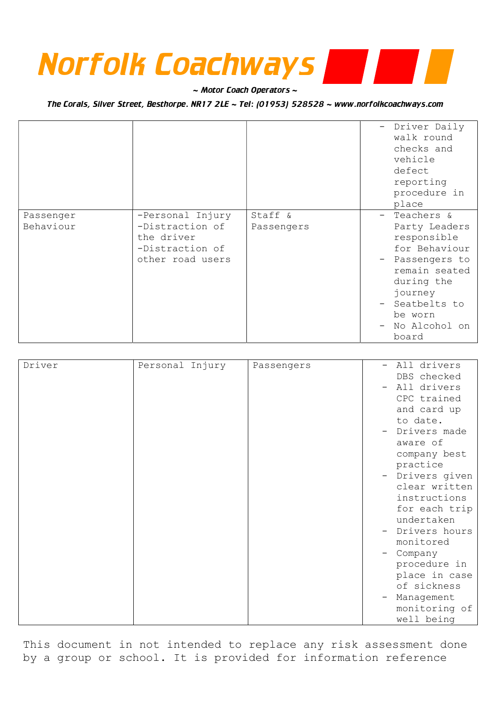# Norfolk Coachways

 $\sim$  Motor Coach Operators  $\sim$ 

The Corals, Silver Street, Besthorpe. NR17 2LE ~ Tel: (01953) 528528 ~ www.norfolkcoachways.com

|                        |                                                                                          |                       | Driver Daily<br>walk round<br>checks and<br>vehicle<br>defect<br>reporting<br>procedure in<br>place                                                                               |
|------------------------|------------------------------------------------------------------------------------------|-----------------------|-----------------------------------------------------------------------------------------------------------------------------------------------------------------------------------|
| Passenger<br>Behaviour | -Personal Injury<br>-Distraction of<br>the driver<br>-Distraction of<br>other road users | Staff &<br>Passengers | - Teachers &<br>Party Leaders<br>responsible<br>for Behaviour<br>- Passengers to<br>remain seated<br>during the<br>journey<br>- Seatbelts to<br>be worn<br>No Alcohol on<br>board |

| Driver | Personal Injury | Passengers | All drivers        |
|--------|-----------------|------------|--------------------|
|        |                 |            | DBS checked        |
|        |                 |            | All drivers        |
|        |                 |            | CPC trained        |
|        |                 |            | and card up        |
|        |                 |            | to date.           |
|        |                 |            | Drivers made       |
|        |                 |            | aware of           |
|        |                 |            | company best       |
|        |                 |            | practice           |
|        |                 |            | Drivers given<br>- |
|        |                 |            | clear written      |
|        |                 |            | instructions       |
|        |                 |            | for each trip      |
|        |                 |            | undertaken         |
|        |                 |            | Drivers hours      |
|        |                 |            | monitored          |
|        |                 |            | Company            |
|        |                 |            | procedure in       |
|        |                 |            | place in case      |
|        |                 |            | of sickness        |
|        |                 |            | Management         |
|        |                 |            | monitoring of      |
|        |                 |            | well being         |

This document in not intended to replace any risk assessment done by a group or school. It is provided for information reference